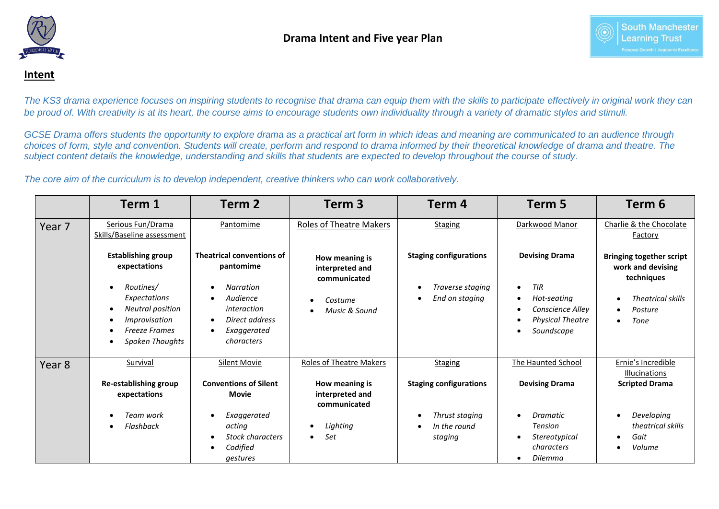



## **Intent**

*The KS3 drama experience focuses on inspiring students to recognise that drama can equip them with the skills to participate effectively in original work they can*  be proud of. With creativity is at its heart, the course aims to encourage students own individuality *through a variety of dramatic styles and stimuli*.

*GCSE Drama offers students the opportunity to explore drama as a practical art form in which ideas and meaning are communicated to an audience through choices of form, style and convention. Students will create, perform and respond to drama informed by their theoretical knowledge of drama and theatre. The subject content details the knowledge, understanding and skills that students are expected to develop throughout the course of study.* 

*The core aim of the curriculum is to develop independent, creative thinkers who can work collaboratively.*

|                   | Term 1                                                                                                                                                                                                                                       | Term 2                                                                                                                                                         | Term <sub>3</sub>                                                                                       | Term 4                                                                                | Term 5                                                                                                                | Term 6                                                                                                            |
|-------------------|----------------------------------------------------------------------------------------------------------------------------------------------------------------------------------------------------------------------------------------------|----------------------------------------------------------------------------------------------------------------------------------------------------------------|---------------------------------------------------------------------------------------------------------|---------------------------------------------------------------------------------------|-----------------------------------------------------------------------------------------------------------------------|-------------------------------------------------------------------------------------------------------------------|
| Year <sub>7</sub> | Serious Fun/Drama<br>Skills/Baseline assessment                                                                                                                                                                                              | Roles of Theatre Makers<br>Pantomime                                                                                                                           |                                                                                                         | <b>Staging</b>                                                                        | Darkwood Manor                                                                                                        | Charlie & the Chocolate<br>Factory                                                                                |
|                   | <b>Establishing group</b><br>expectations<br>Routines/<br>$\bullet$<br>Expectations<br><b>Neutral position</b><br>$\bullet$<br><i><b>Improvisation</b></i><br>$\bullet$<br><b>Freeze Frames</b><br>$\bullet$<br>Spoken Thoughts<br>$\bullet$ | <b>Theatrical conventions of</b><br>pantomime<br>Narration<br>Audience<br>interaction<br>Direct address<br>$\bullet$<br>Exaggerated<br>$\bullet$<br>characters | How meaning is<br>interpreted and<br>communicated<br>Costume<br>$\bullet$<br>Music & Sound<br>$\bullet$ | <b>Staging configurations</b><br>Traverse staging<br>٠<br>End on staging<br>$\bullet$ | <b>Devising Drama</b><br><b>TIR</b><br>$\bullet$<br>Hot-seating<br>Conscience Alley<br>Physical Theatre<br>Soundscape | <b>Bringing together script</b><br>work and devising<br>techniques<br><b>Theatrical skills</b><br>Posture<br>Tone |
| Year 8            | Survival<br>Re-establishing group<br>expectations                                                                                                                                                                                            | <b>Roles of Theatre Makers</b><br><b>Silent Movie</b><br><b>Conventions of Silent</b><br>How meaning is<br>interpreted and<br>Movie<br>communicated            |                                                                                                         | <b>Staging</b><br><b>Staging configurations</b>                                       | The Haunted School<br>Ernie's Incredible<br>Illucinations<br><b>Devising Drama</b><br><b>Scripted Drama</b>           |                                                                                                                   |
|                   | Team work<br>$\bullet$<br>Flashback<br>$\bullet$                                                                                                                                                                                             | Exaggerated<br>acting<br><b>Stock characters</b><br>Codified<br>gestures                                                                                       | Lighting<br>٠<br>Set                                                                                    | Thrust staging<br>$\bullet$<br>In the round<br>$\bullet$<br>staging                   | <b>Dramatic</b><br><b>Tension</b><br>Stereotypical<br>characters<br><b>Dilemma</b>                                    | Developing<br>theatrical skills<br>Gait<br>Volume                                                                 |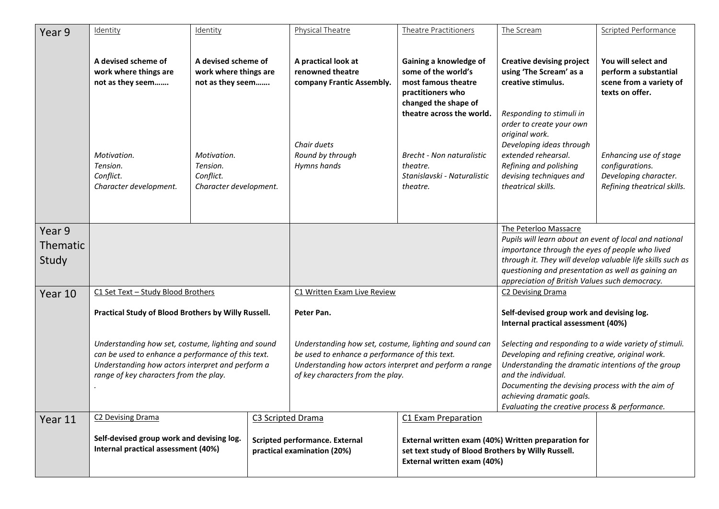| Year 9   | Identity                                                                                                                                                                                               | Identity                                                         |                                                                                                                                                                                                                      | Physical Theatre                                                     | Theatre Practitioners                                                                                                                                                                   | The Scream                                                                                                                                   | Scripted Performance                                                                              |
|----------|--------------------------------------------------------------------------------------------------------------------------------------------------------------------------------------------------------|------------------------------------------------------------------|----------------------------------------------------------------------------------------------------------------------------------------------------------------------------------------------------------------------|----------------------------------------------------------------------|-----------------------------------------------------------------------------------------------------------------------------------------------------------------------------------------|----------------------------------------------------------------------------------------------------------------------------------------------|---------------------------------------------------------------------------------------------------|
|          | A devised scheme of<br>work where things are<br>not as they seem                                                                                                                                       | A devised scheme of<br>work where things are<br>not as they seem |                                                                                                                                                                                                                      | A practical look at<br>renowned theatre<br>company Frantic Assembly. | Gaining a knowledge of<br>some of the world's<br>most famous theatre<br>practitioners who<br>changed the shape of<br>theatre across the world.                                          | <b>Creative devising project</b><br>using 'The Scream' as a<br>creative stimulus.<br>Responding to stimuli in<br>order to create your own    | You will select and<br>perform a substantial<br>scene from a variety of<br>texts on offer.        |
|          | Motivation.<br>Tension.<br>Conflict.<br>Character development.                                                                                                                                         | Motivation.<br>Tension.<br>Conflict.<br>Character development.   |                                                                                                                                                                                                                      | Chair duets<br>Round by through<br>Hymns hands                       | Brecht - Non naturalistic<br>theatre.<br>Stanislavski - Naturalistic<br>theatre.                                                                                                        | original work.<br>Developing ideas through<br>extended rehearsal.<br>Refining and polishing<br>devising techniques and<br>theatrical skills. | Enhancing use of stage<br>configurations.<br>Developing character.<br>Refining theatrical skills. |
| Year 9   |                                                                                                                                                                                                        |                                                                  |                                                                                                                                                                                                                      |                                                                      |                                                                                                                                                                                         | The Peterloo Massacre                                                                                                                        |                                                                                                   |
| Thematic |                                                                                                                                                                                                        |                                                                  |                                                                                                                                                                                                                      |                                                                      | Pupils will learn about an event of local and national<br>importance through the eyes of people who lived                                                                               |                                                                                                                                              |                                                                                                   |
| Study    |                                                                                                                                                                                                        |                                                                  |                                                                                                                                                                                                                      |                                                                      | through it. They will develop valuable life skills such as<br>questioning and presentation as well as gaining an                                                                        |                                                                                                                                              |                                                                                                   |
|          |                                                                                                                                                                                                        |                                                                  |                                                                                                                                                                                                                      |                                                                      |                                                                                                                                                                                         | appreciation of British Values such democracy.                                                                                               |                                                                                                   |
| Year 10  | C1 Set Text - Study Blood Brothers                                                                                                                                                                     |                                                                  |                                                                                                                                                                                                                      | C1 Written Exam Live Review                                          |                                                                                                                                                                                         | C2 Devising Drama                                                                                                                            |                                                                                                   |
|          | Practical Study of Blood Brothers by Willy Russell.                                                                                                                                                    |                                                                  | Peter Pan.<br>Understanding how set, costume, lighting and sound can<br>be used to enhance a performance of this text.<br>Understanding how actors interpret and perform a range<br>of key characters from the play. |                                                                      | Self-devised group work and devising log.<br>Internal practical assessment (40%)                                                                                                        |                                                                                                                                              |                                                                                                   |
|          | Understanding how set, costume, lighting and sound<br>can be used to enhance a performance of this text.<br>Understanding how actors interpret and perform a<br>range of key characters from the play. |                                                                  |                                                                                                                                                                                                                      |                                                                      | Selecting and responding to a wide variety of stimuli.<br>Developing and refining creative, original work.<br>Understanding the dramatic intentions of the group<br>and the individual. |                                                                                                                                              |                                                                                                   |
|          |                                                                                                                                                                                                        |                                                                  |                                                                                                                                                                                                                      |                                                                      | Documenting the devising process with the aim of<br>achieving dramatic goals.<br>Evaluating the creative process & performance.                                                         |                                                                                                                                              |                                                                                                   |
| Year 11  | C2 Devising Drama<br>C3 Scripted Drama                                                                                                                                                                 |                                                                  | C1 Exam Preparation                                                                                                                                                                                                  |                                                                      |                                                                                                                                                                                         |                                                                                                                                              |                                                                                                   |
|          | Self-devised group work and devising log.<br>Internal practical assessment (40%)                                                                                                                       |                                                                  | Scripted performance. External<br>set text study of Blood Brothers by Willy Russell.<br>practical examination (20%)<br>External written exam (40%)                                                                   |                                                                      | External written exam (40%) Written preparation for                                                                                                                                     |                                                                                                                                              |                                                                                                   |